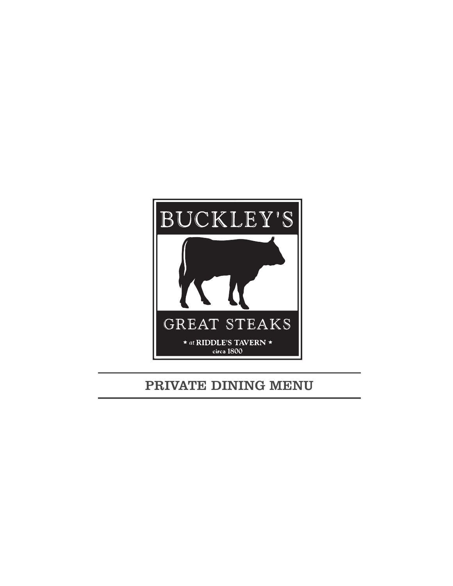

### PRIVATE DINING MENU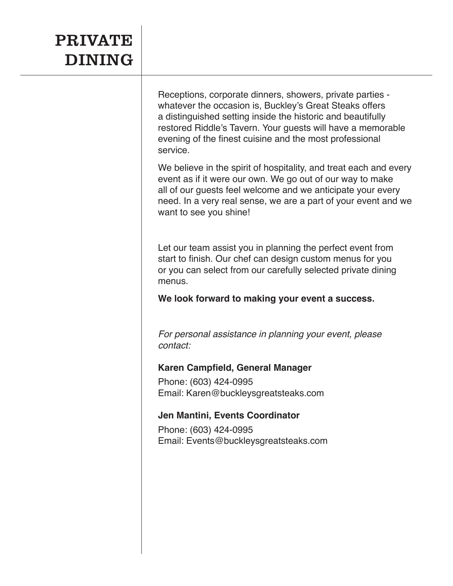# PRIVATE DINING

Receptions, corporate dinners, showers, private parties whatever the occasion is, Buckley's Great Steaks offers a distinguished setting inside the historic and beautifully restored Riddle's Tavern. Your guests will have a memorable evening of the finest cuisine and the most professional service.

We believe in the spirit of hospitality, and treat each and every event as if it were our own. We go out of our way to make all of our guests feel welcome and we anticipate your every need. In a very real sense, we are a part of your event and we want to see you shine!

Let our team assist you in planning the perfect event from start to finish. Our chef can design custom menus for you or you can select from our carefully selected private dining menus.

**We look forward to making your event a success.**

*For personal assistance in planning your event, please contact:*

#### **Karen Campfield, General Manager**

Phone: (603) 424-0995 Email: Karen@buckleysgreatsteaks.com

#### **Jen Mantini, Events Coordinator**

Phone: (603) 424-0995 Email: Events@buckleysgreatsteaks.com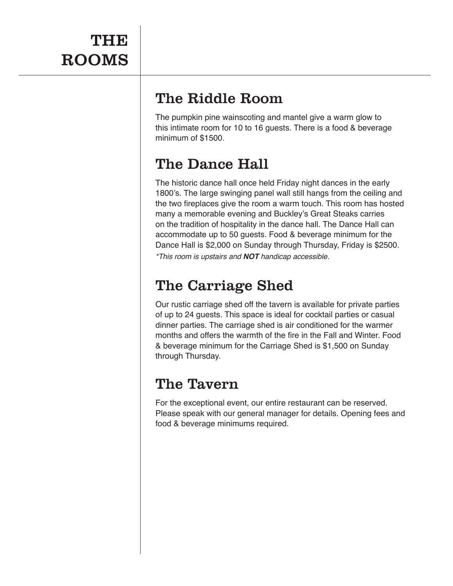## The Riddle Room

The pumpkin pine wainscoting and mantel give a warm glow to this intimate room for 10 to 16 guests. There is a food & beverage minimum of \$1500.

## The Dance Hall

The historic dance hall once held Friday night dances in the early 1800's. The large swinging panel wall still hangs from the ceiling and the two fireplaces give the room a warm touch. This room has hosted many a memorable evening and Buckley's Great Steaks carries on the tradition of hospitality in the dance hall. The Dance Hall can accommodate up to 50 guests. Food & beverage minimum for the Dance Hall is \$2,000 on Sunday through Thursday, Friday is \$2500. *\*This room is upstairs and* **NOT** *handicap accessible.* 

## The Carriage Shed

Our rustic carriage shed off the tavern is available for private parties of up to 24 guests. This space is ideal for cocktail parties or casual dinner parties. The carriage shed is air conditioned for the warmer months and offers the warmth of the fire in the Fall and Winter. Food & beverage minimum for the Carriage Shed is \$1,500 on Sunday through Thursday.

### The Tavern

For the exceptional event, our entire restaurant can be reserved. Please speak with our general manager for details. Opening fees and food & beverage minimums required.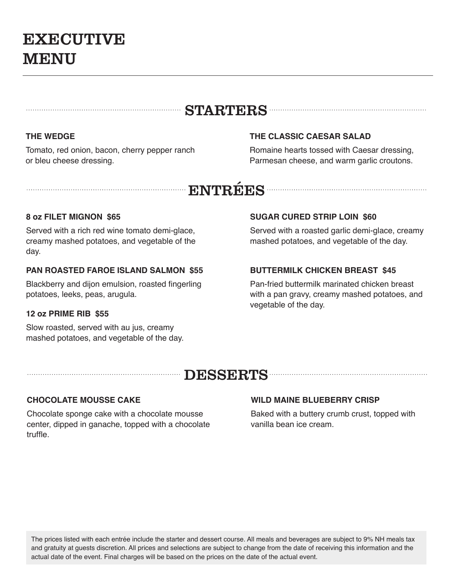# EXECUTIVE MENU

#### STARTERS **STARTERS**

#### **THE WEDGE**

Tomato, red onion, bacon, cherry pepper ranch or bleu cheese dressing.

#### **THE CLASSIC CAESAR SALAD**

Romaine hearts tossed with Caesar dressing, Parmesan cheese, and warm garlic croutons.

## ENTRÉES

#### **8 oz FILET MIGNON \$65**

Served with a rich red wine tomato demi-glace, creamy mashed potatoes, and vegetable of the day.

#### **PAN ROASTED FAROE ISLAND SALMON \$55**

Blackberry and dijon emulsion, roasted fingerling potatoes, leeks, peas, arugula.

#### **12 oz PRIME RIB \$55**

Slow roasted, served with au jus, creamy mashed potatoes, and vegetable of the day.

#### **SUGAR CURED STRIP LOIN \$60**

Served with a roasted garlic demi-glace, creamy mashed potatoes, and vegetable of the day.

#### **BUTTERMILK CHICKEN BREAST \$45**

Pan-fried buttermilk marinated chicken breast with a pan gravy, creamy mashed potatoes, and vegetable of the day.

### DESSERTS NEWSLETTERS

#### **CHOCOLATE MOUSSE CAKE**

Chocolate sponge cake with a chocolate mousse center, dipped in ganache, topped with a chocolate truffle.

#### **WILD MAINE BLUEBERRY CRISP**

Baked with a buttery crumb crust, topped with vanilla bean ice cream.

The prices listed with each entrée include the starter and dessert course. All meals and beverages are subject to 9% NH meals tax and gratuity at guests discretion. All prices and selections are subject to change from the date of receiving this information and the actual date of the event. Final charges will be based on the prices on the date of the actual event.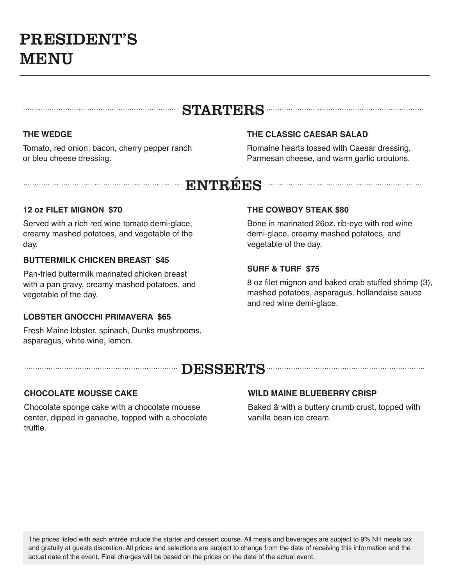# PRESIDENT'S MENU

### STARTERS **STARTERS**

#### **THE WEDGE**

Tomato, red onion, bacon, cherry pepper ranch or bleu cheese dressing.

#### **THE CLASSIC CAESAR SALAD**

Romaine hearts tossed with Caesar dressing, Parmesan cheese, and warm garlic croutons.

## ENTRÉES

#### **12 oz FILET MIGNON \$70**

Served with a rich red wine tomato demi-glace, creamy mashed potatoes, and vegetable of the day.

#### **BUTTERMILK CHICKEN BREAST \$45**

Pan-fried buttermilk marinated chicken breast with a pan gravy, creamy mashed potatoes, and vegetable of the day.

#### **LOBSTER GNOCCHI PRIMAVERA \$65**

Fresh Maine lobster, spinach, Dunks mushrooms, asparagus, white wine, lemon.

#### **THE COWBOY STEAK \$80**

Bone in marinated 26oz. rib-eye with red wine demi-glace, creamy mashed potatoes, and vegetable of the day.

#### **SURF & TURF \$75**

8 oz filet mignon and baked crab stuffed shrimp (3), mashed potatoes, asparagus, hollandaise sauce and red wine demi-glace.

### EXSERTS AND CONTROLLER THE DESSERTS AND THE RESERVE TO A RESERVE THE RESERVE TO A REPORT OF THE RESERVE TO A RESERVE THE RESERVE TO A REPORT OF THE RESERVE THAT A REPORT OF THE RESERVE THAT A REPORT OF THE REPORT OF THE RE

#### **CHOCOLATE MOUSSE CAKE**

Chocolate sponge cake with a chocolate mousse center, dipped in ganache, topped with a chocolate truffle.

#### **WILD MAINE BLUEBERRY CRISP**

Baked & with a buttery crumb crust, topped with vanilla bean ice cream.

The prices listed with each entrée include the starter and dessert course. All meals and beverages are subject to 9% NH meals tax and gratuity at guests discretion. All prices and selections are subject to change from the date of receiving this information and the actual date of the event. Final charges will be based on the prices on the date of the actual event.